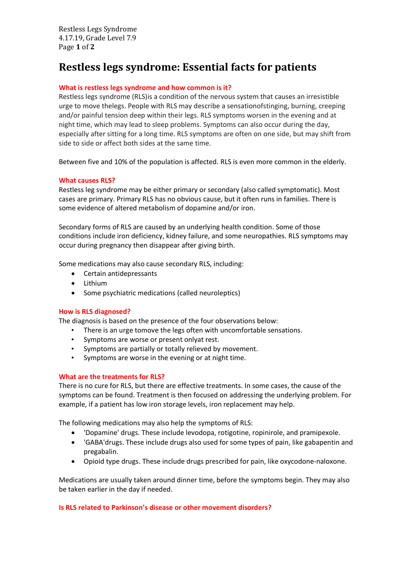# **Restless legs syndrome: Essential facts for patients**

### **What is restless legs syndrome and how common is it?**

Restless legs syndrome (RLS)is a condition of the nervous system that causes an irresistible urge to move thelegs. People with RLS may describe a sensationofstinging, burning, creeping and/or painful tension deep within their legs. RLS symptoms worsen in the evening and at night time, which may lead to sleep problems. Symptoms can also occur during the day, especially after sitting for a long time. RLS symptoms are often on one side, but may shift from side to side or affect both sides at the same time.

Between five and 10% of the population is affected. RLS is even more common in the elderly.

## **What causes RLS?**

Restless leg syndrome may be either primary or secondary (also called symptomatic). Most cases are primary. Primary RLS has no obvious cause, but it often runs in families. There is some evidence of altered metabolism of dopamine and/or iron.

Secondary forms of RLS are caused by an underlying health condition. Some of those conditions include iron deficiency, kidney failure, and some neuropathies. RLS symptoms may occur during pregnancy then disappear after giving birth.

Some medications may also cause secondary RLS, including:

- Certain antidepressants
- Lithium
- Some psychiatric medications (called neuroleptics)

#### **How is RLS diagnosed?**

The diagnosis is based on the presence of the four observations below:

- There is an urge tomove the legs often with uncomfortable sensations.
- Symptoms are worse or present onlyat rest.
- Symptoms are partially or totally relieved by movement.
- Symptoms are worse in the evening or at night time.

#### **What are the treatments for RLS?**

There is no cure for RLS, but there are effective treatments. In some cases, the cause of the symptoms can be found. Treatment is then focused on addressing the underlying problem. For example, if a patient has low iron storage levels, iron replacement may help.

The following medications may also help the symptoms of RLS:

- 'Dopamine' drugs. These include levodopa, rotigotine, ropinirole, and pramipexole.
- 'GABA'drugs. These include drugs also used for some types of pain, like gabapentin and pregabalin.
- Opioid type drugs. These include drugs prescribed for pain, like oxycodone-naloxone.

Medications are usually taken around dinner time, before the symptoms begin. They may also be taken earlier in the day if needed.

#### **Is RLS related to Parkinson's disease or other movement disorders?**